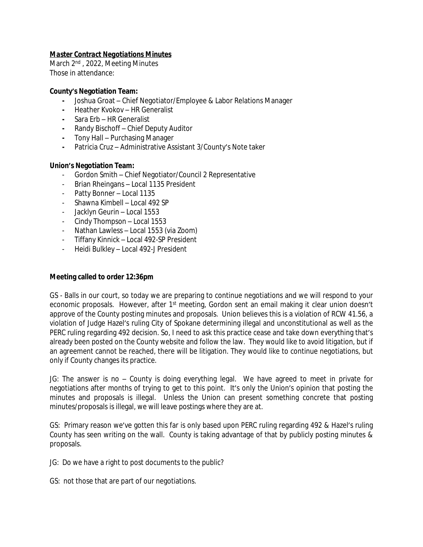# *Master Contract Negotiations Minutes*

March 2<sup>nd</sup>, 2022, Meeting Minutes Those in attendance:

#### **County's Negotiation Team:**

- **-** Joshua Groat Chief Negotiator/Employee & Labor Relations Manager
- **-** Heather Kvokov HR Generalist
- **-** Sara Erb HR Generalist
- **-** Randy Bischoff Chief Deputy Auditor
- **-** Tony Hall Purchasing Manager
- **-** Patricia Cruz Administrative Assistant 3/County's Note taker

### **Union's Negotiation Team:**

- Gordon Smith Chief Negotiator/Council 2 Representative
- Brian Rheingans Local 1135 President
- Patty Bonner Local 1135
- Shawna Kimbell Local 492 SP
- Jacklyn Geurin Local 1553
- Cindy Thompson Local 1553
- Nathan Lawless Local 1553 (via Zoom)
- Tiffany Kinnick Local 492-SP President
- Heidi Bulkley Local 492-J President

### **Meeting called to order 12:36pm**

GS - Balls in our court, so today we are preparing to continue negotiations and we will respond to your economic proposals. However, after 1<sup>st</sup> meeting, Gordon sent an email making it clear union doesn't approve of the County posting minutes and proposals. Union believes this is a violation of RCW 41.56, a violation of Judge Hazel's ruling City of Spokane determining illegal and unconstitutional as well as the PERC ruling regarding 492 decision. So, I need to ask this practice cease and take down everything that's already been posted on the County website and follow the law. They would like to avoid litigation, but if an agreement cannot be reached, there will be litigation. They would like to continue negotiations, but only if County changes its practice.

JG: The answer is no – County is doing everything legal. We have agreed to meet in private for negotiations after months of trying to get to this point. It's only the Union's opinion that posting the minutes and proposals is illegal. Unless the Union can present something concrete that posting minutes/proposals is illegal, we will leave postings where they are at.

GS: Primary reason we've gotten this far is only based upon PERC ruling regarding 492 & Hazel's ruling County has seen writing on the wall. County is taking advantage of that by publicly posting minutes & proposals.

JG: Do we have a right to post documents to the public?

GS: not those that are part of our negotiations.